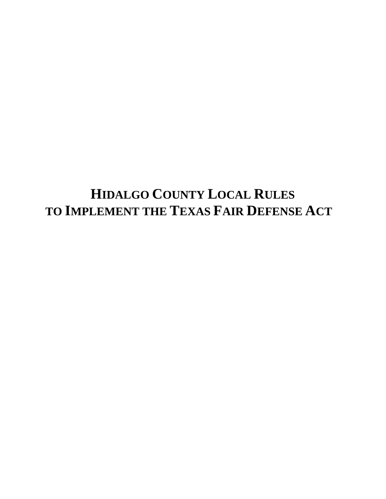# **HIDALGO COUNTY LOCAL RULES TO IMPLEMENT THE TEXAS FAIR DEFENSE ACT**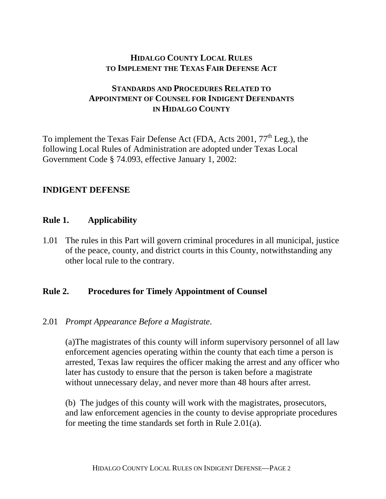# **HIDALGO COUNTY LOCAL RULES TO IMPLEMENT THE TEXAS FAIR DEFENSE ACT**

# **STANDARDS AND PROCEDURES RELATED TO APPOINTMENT OF COUNSEL FOR INDIGENT DEFENDANTS IN HIDALGO COUNTY**

To implement the Texas Fair Defense Act (FDA, Acts 2001, 77<sup>th</sup> Leg.), the following Local Rules of Administration are adopted under Texas Local Government Code § 74.093, effective January 1, 2002:

## **INDIGENT DEFENSE**

## **Rule 1. Applicability**

1.01 The rules in this Part will govern criminal procedures in all municipal, justice of the peace, county, and district courts in this County, notwithstanding any other local rule to the contrary.

## **Rule 2. Procedures for Timely Appointment of Counsel**

# 2.01 *Prompt Appearance Before a Magistrate*.

(a)The magistrates of this county will inform supervisory personnel of all law enforcement agencies operating within the county that each time a person is arrested, Texas law requires the officer making the arrest and any officer who later has custody to ensure that the person is taken before a magistrate without unnecessary delay, and never more than 48 hours after arrest.

(b) The judges of this county will work with the magistrates, prosecutors, and law enforcement agencies in the county to devise appropriate procedures for meeting the time standards set forth in Rule 2.01(a).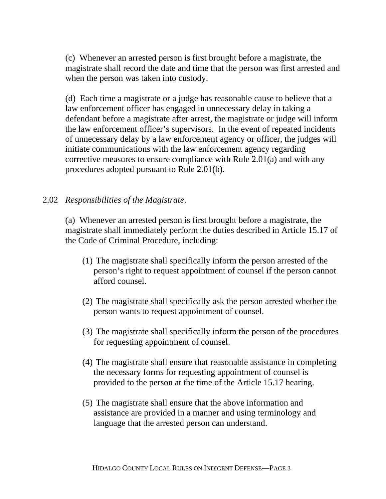(c) Whenever an arrested person is first brought before a magistrate, the magistrate shall record the date and time that the person was first arrested and when the person was taken into custody.

(d) Each time a magistrate or a judge has reasonable cause to believe that a law enforcement officer has engaged in unnecessary delay in taking a defendant before a magistrate after arrest, the magistrate or judge will inform the law enforcement officer's supervisors. In the event of repeated incidents of unnecessary delay by a law enforcement agency or officer, the judges will initiate communications with the law enforcement agency regarding corrective measures to ensure compliance with Rule 2.01(a) and with any procedures adopted pursuant to Rule 2.01(b).

## 2.02 *Responsibilities of the Magistrate*.

(a) Whenever an arrested person is first brought before a magistrate, the magistrate shall immediately perform the duties described in Article 15.17 of the Code of Criminal Procedure, including:

- (1) The magistrate shall specifically inform the person arrested of the person's right to request appointment of counsel if the person cannot afford counsel.
- (2) The magistrate shall specifically ask the person arrested whether the person wants to request appointment of counsel.
- (3) The magistrate shall specifically inform the person of the procedures for requesting appointment of counsel.
- (4) The magistrate shall ensure that reasonable assistance in completing the necessary forms for requesting appointment of counsel is provided to the person at the time of the Article 15.17 hearing.
- (5) The magistrate shall ensure that the above information and assistance are provided in a manner and using terminology and language that the arrested person can understand.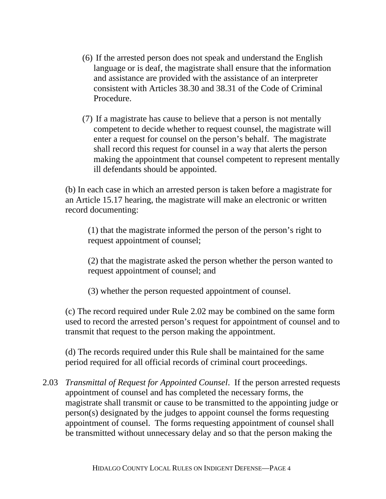- (6) If the arrested person does not speak and understand the English language or is deaf, the magistrate shall ensure that the information and assistance are provided with the assistance of an interpreter consistent with Articles 38.30 and 38.31 of the Code of Criminal Procedure.
- (7) If a magistrate has cause to believe that a person is not mentally competent to decide whether to request counsel, the magistrate will enter a request for counsel on the person's behalf. The magistrate shall record this request for counsel in a way that alerts the person making the appointment that counsel competent to represent mentally ill defendants should be appointed.

(b) In each case in which an arrested person is taken before a magistrate for an Article 15.17 hearing, the magistrate will make an electronic or written record documenting:

(1) that the magistrate informed the person of the person's right to request appointment of counsel;

(2) that the magistrate asked the person whether the person wanted to request appointment of counsel; and

(3) whether the person requested appointment of counsel.

(c) The record required under Rule 2.02 may be combined on the same form used to record the arrested person's request for appointment of counsel and to transmit that request to the person making the appointment.

(d) The records required under this Rule shall be maintained for the same period required for all official records of criminal court proceedings.

2.03 *Transmittal of Request for Appointed Counsel*. If the person arrested requests appointment of counsel and has completed the necessary forms, the magistrate shall transmit or cause to be transmitted to the appointing judge or person(s) designated by the judges to appoint counsel the forms requesting appointment of counsel. The forms requesting appointment of counsel shall be transmitted without unnecessary delay and so that the person making the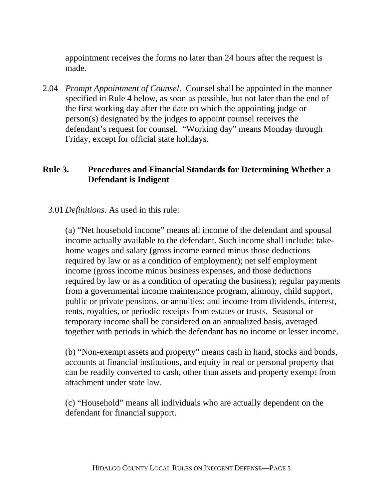appointment receives the forms no later than 24 hours after the request is made.

2.04 *Prompt Appointment of Counsel*. Counsel shall be appointed in the manner specified in Rule 4 below, as soon as possible, but not later than the end of the first working day after the date on which the appointing judge or person(s) designated by the judges to appoint counsel receives the defendant's request for counsel. "Working day" means Monday through Friday, except for official state holidays.

# **Rule 3. Procedures and Financial Standards for Determining Whether a Defendant is Indigent**

# 3.01 *Definitions*. As used in this rule:

(a) "Net household income" means all income of the defendant and spousal income actually available to the defendant. Such income shall include: takehome wages and salary (gross income earned minus those deductions required by law or as a condition of employment); net self employment income (gross income minus business expenses, and those deductions required by law or as a condition of operating the business); regular payments from a governmental income maintenance program, alimony, child support, public or private pensions, or annuities; and income from dividends, interest, rents, royalties, or periodic receipts from estates or trusts. Seasonal or temporary income shall be considered on an annualized basis, averaged together with periods in which the defendant has no income or lesser income.

(b) "Non-exempt assets and property" means cash in hand, stocks and bonds, accounts at financial institutions, and equity in real or personal property that can be readily converted to cash, other than assets and property exempt from attachment under state law.

(c) "Household" means all individuals who are actually dependent on the defendant for financial support.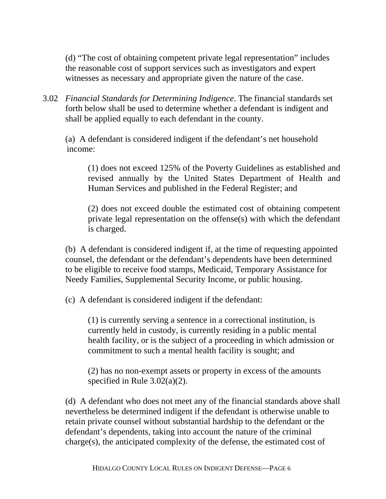(d) "The cost of obtaining competent private legal representation" includes the reasonable cost of support services such as investigators and expert witnesses as necessary and appropriate given the nature of the case.

3.02 *Financial Standards for Determining Indigence*. The financial standards set forth below shall be used to determine whether a defendant is indigent and shall be applied equally to each defendant in the county.

 (a) A defendant is considered indigent if the defendant's net household income:

(1) does not exceed 125% of the Poverty Guidelines as established and revised annually by the United States Department of Health and Human Services and published in the Federal Register; and

(2) does not exceed double the estimated cost of obtaining competent private legal representation on the offense(s) with which the defendant is charged.

(b) A defendant is considered indigent if, at the time of requesting appointed counsel, the defendant or the defendant's dependents have been determined to be eligible to receive food stamps, Medicaid, Temporary Assistance for Needy Families, Supplemental Security Income, or public housing.

(c) A defendant is considered indigent if the defendant:

(1) is currently serving a sentence in a correctional institution, is currently held in custody, is currently residing in a public mental health facility, or is the subject of a proceeding in which admission or commitment to such a mental health facility is sought; and

(2) has no non-exempt assets or property in excess of the amounts specified in Rule 3.02(a)(2).

(d) A defendant who does not meet any of the financial standards above shall nevertheless be determined indigent if the defendant is otherwise unable to retain private counsel without substantial hardship to the defendant or the defendant's dependents, taking into account the nature of the criminal charge(s), the anticipated complexity of the defense, the estimated cost of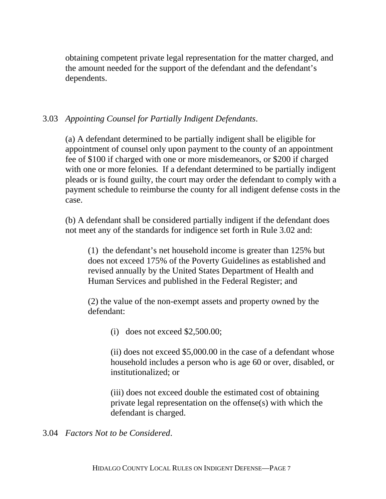obtaining competent private legal representation for the matter charged, and the amount needed for the support of the defendant and the defendant's dependents.

# 3.03 *Appointing Counsel for Partially Indigent Defendants*.

(a) A defendant determined to be partially indigent shall be eligible for appointment of counsel only upon payment to the county of an appointment fee of \$100 if charged with one or more misdemeanors, or \$200 if charged with one or more felonies. If a defendant determined to be partially indigent pleads or is found guilty, the court may order the defendant to comply with a payment schedule to reimburse the county for all indigent defense costs in the case.

(b) A defendant shall be considered partially indigent if the defendant does not meet any of the standards for indigence set forth in Rule 3.02 and:

(1) the defendant's net household income is greater than 125% but does not exceed 175% of the Poverty Guidelines as established and revised annually by the United States Department of Health and Human Services and published in the Federal Register; and

(2) the value of the non-exempt assets and property owned by the defendant:

(i) does not exceed \$2,500.00;

(ii) does not exceed \$5,000.00 in the case of a defendant whose household includes a person who is age 60 or over, disabled, or institutionalized; or

(iii) does not exceed double the estimated cost of obtaining private legal representation on the offense(s) with which the defendant is charged.

3.04 *Factors Not to be Considered*.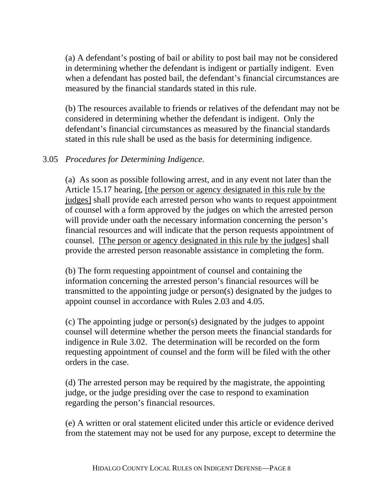(a) A defendant's posting of bail or ability to post bail may not be considered in determining whether the defendant is indigent or partially indigent. Even when a defendant has posted bail, the defendant's financial circumstances are measured by the financial standards stated in this rule.

(b) The resources available to friends or relatives of the defendant may not be considered in determining whether the defendant is indigent. Only the defendant's financial circumstances as measured by the financial standards stated in this rule shall be used as the basis for determining indigence.

# 3.05 *Procedures for Determining Indigence*.

(a) As soon as possible following arrest, and in any event not later than the Article 15.17 hearing, [the person or agency designated in this rule by the judges] shall provide each arrested person who wants to request appointment of counsel with a form approved by the judges on which the arrested person will provide under oath the necessary information concerning the person's financial resources and will indicate that the person requests appointment of counsel. [The person or agency designated in this rule by the judges] shall provide the arrested person reasonable assistance in completing the form.

(b) The form requesting appointment of counsel and containing the information concerning the arrested person's financial resources will be transmitted to the appointing judge or person(s) designated by the judges to appoint counsel in accordance with Rules 2.03 and 4.05.

(c) The appointing judge or person(s) designated by the judges to appoint counsel will determine whether the person meets the financial standards for indigence in Rule 3.02. The determination will be recorded on the form requesting appointment of counsel and the form will be filed with the other orders in the case.

(d) The arrested person may be required by the magistrate, the appointing judge, or the judge presiding over the case to respond to examination regarding the person's financial resources.

(e) A written or oral statement elicited under this article or evidence derived from the statement may not be used for any purpose, except to determine the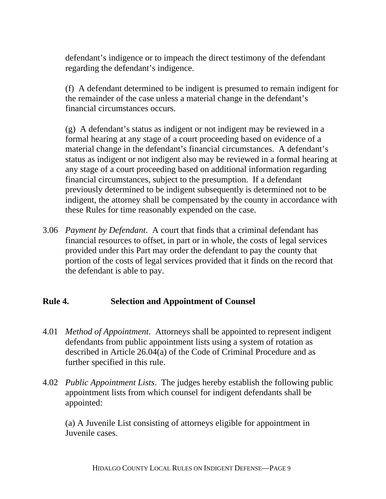defendant's indigence or to impeach the direct testimony of the defendant regarding the defendant's indigence.

(f) A defendant determined to be indigent is presumed to remain indigent for the remainder of the case unless a material change in the defendant's financial circumstances occurs.

(g) A defendant's status as indigent or not indigent may be reviewed in a formal hearing at any stage of a court proceeding based on evidence of a material change in the defendant's financial circumstances. A defendant's status as indigent or not indigent also may be reviewed in a formal hearing at any stage of a court proceeding based on additional information regarding financial circumstances, subject to the presumption. If a defendant previously determined to be indigent subsequently is determined not to be indigent, the attorney shall be compensated by the county in accordance with these Rules for time reasonably expended on the case.

3.06 *Payment by Defendant*. A court that finds that a criminal defendant has financial resources to offset, in part or in whole, the costs of legal services provided under this Part may order the defendant to pay the county that portion of the costs of legal services provided that it finds on the record that the defendant is able to pay.

## **Rule 4. Selection and Appointment of Counsel**

- 4.01 *Method of Appointment*. Attorneys shall be appointed to represent indigent defendants from public appointment lists using a system of rotation as described in Article 26.04(a) of the Code of Criminal Procedure and as further specified in this rule.
- 4.02 *Public Appointment Lists*. The judges hereby establish the following public appointment lists from which counsel for indigent defendants shall be appointed:

(a) A Juvenile List consisting of attorneys eligible for appointment in Juvenile cases.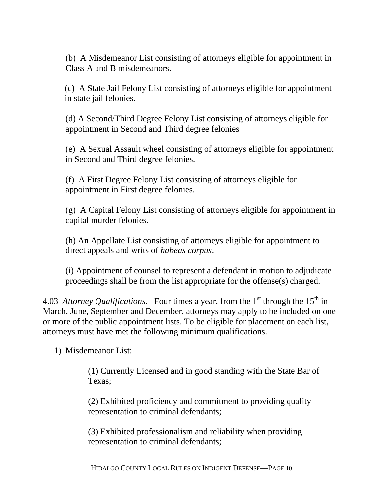(b) A Misdemeanor List consisting of attorneys eligible for appointment in Class A and B misdemeanors.

 (c) A State Jail Felony List consisting of attorneys eligible for appointment in state jail felonies.

(d) A Second/Third Degree Felony List consisting of attorneys eligible for appointment in Second and Third degree felonies

(e) A Sexual Assault wheel consisting of attorneys eligible for appointment in Second and Third degree felonies.

(f) A First Degree Felony List consisting of attorneys eligible for appointment in First degree felonies.

(g) A Capital Felony List consisting of attorneys eligible for appointment in capital murder felonies.

(h) An Appellate List consisting of attorneys eligible for appointment to direct appeals and writs of *habeas corpus*.

(i) Appointment of counsel to represent a defendant in motion to adjudicate proceedings shall be from the list appropriate for the offense(s) charged.

4.03 *Attorney Qualifications*. Four times a year, from the  $1<sup>st</sup>$  through the  $15<sup>th</sup>$  in March, June, September and December, attorneys may apply to be included on one or more of the public appointment lists. To be eligible for placement on each list, attorneys must have met the following minimum qualifications.

1) Misdemeanor List:

(1) Currently Licensed and in good standing with the State Bar of Texas;

(2) Exhibited proficiency and commitment to providing quality representation to criminal defendants;

(3) Exhibited professionalism and reliability when providing representation to criminal defendants;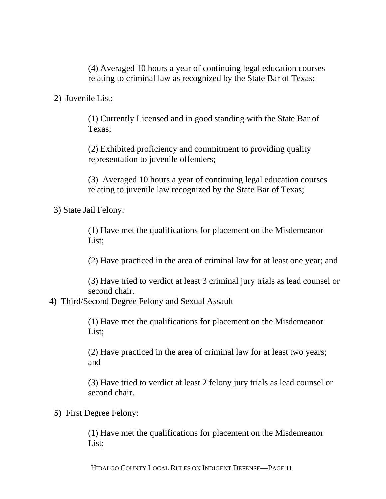(4) Averaged 10 hours a year of continuing legal education courses relating to criminal law as recognized by the State Bar of Texas;

2) Juvenile List:

(1) Currently Licensed and in good standing with the State Bar of Texas;

(2) Exhibited proficiency and commitment to providing quality representation to juvenile offenders;

(3) Averaged 10 hours a year of continuing legal education courses relating to juvenile law recognized by the State Bar of Texas;

3) State Jail Felony:

(1) Have met the qualifications for placement on the Misdemeanor List;

(2) Have practiced in the area of criminal law for at least one year; and

(3) Have tried to verdict at least 3 criminal jury trials as lead counsel or second chair.

4) Third/Second Degree Felony and Sexual Assault

(1) Have met the qualifications for placement on the Misdemeanor List;

(2) Have practiced in the area of criminal law for at least two years; and

(3) Have tried to verdict at least 2 felony jury trials as lead counsel or second chair.

5) First Degree Felony:

(1) Have met the qualifications for placement on the Misdemeanor List;

HIDALGO COUNTY LOCAL RULES ON INDIGENT DEFENSE—PAGE 11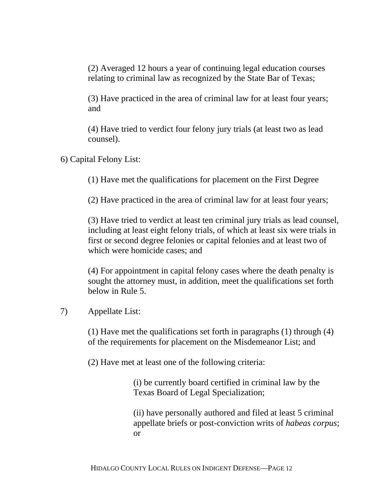(2) Averaged 12 hours a year of continuing legal education courses relating to criminal law as recognized by the State Bar of Texas;

(3) Have practiced in the area of criminal law for at least four years; and

(4) Have tried to verdict four felony jury trials (at least two as lead counsel).

6) Capital Felony List:

(1) Have met the qualifications for placement on the First Degree

(2) Have practiced in the area of criminal law for at least four years;

(3) Have tried to verdict at least ten criminal jury trials as lead counsel, including at least eight felony trials, of which at least six were trials in first or second degree felonies or capital felonies and at least two of which were homicide cases; and

(4) For appointment in capital felony cases where the death penalty is sought the attorney must, in addition, meet the qualifications set forth below in Rule 5.

# 7) Appellate List:

(1) Have met the qualifications set forth in paragraphs (1) through (4) of the requirements for placement on the Misdemeanor List; and

(2) Have met at least one of the following criteria:

(i) be currently board certified in criminal law by the Texas Board of Legal Specialization;

(ii) have personally authored and filed at least 5 criminal appellate briefs or post-conviction writs of *habeas corpus*; or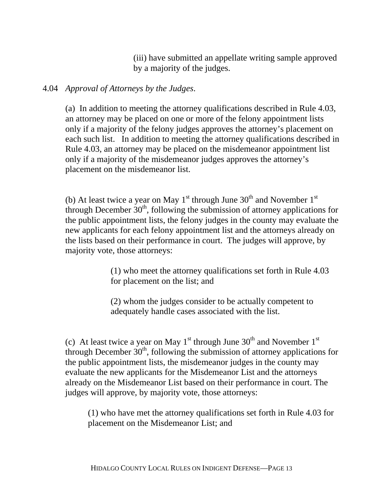(iii) have submitted an appellate writing sample approved by a majority of the judges.

## 4.04 *Approval of Attorneys by the Judges*.

(a) In addition to meeting the attorney qualifications described in Rule 4.03, an attorney may be placed on one or more of the felony appointment lists only if a majority of the felony judges approves the attorney's placement on each such list. In addition to meeting the attorney qualifications described in Rule 4.03, an attorney may be placed on the misdemeanor appointment list only if a majority of the misdemeanor judges approves the attorney's placement on the misdemeanor list.

(b) At least twice a year on May  $1<sup>st</sup>$  through June  $30<sup>th</sup>$  and November  $1<sup>st</sup>$ through December  $30<sup>th</sup>$ , following the submission of attorney applications for the public appointment lists, the felony judges in the county may evaluate the new applicants for each felony appointment list and the attorneys already on the lists based on their performance in court. The judges will approve, by majority vote, those attorneys:

> (1) who meet the attorney qualifications set forth in Rule 4.03 for placement on the list; and

(2) whom the judges consider to be actually competent to adequately handle cases associated with the list.

(c) At least twice a year on May  $1<sup>st</sup>$  through June 30<sup>th</sup> and November  $1<sup>st</sup>$ through December  $30<sup>th</sup>$ , following the submission of attorney applications for the public appointment lists, the misdemeanor judges in the county may evaluate the new applicants for the Misdemeanor List and the attorneys already on the Misdemeanor List based on their performance in court. The judges will approve, by majority vote, those attorneys:

(1) who have met the attorney qualifications set forth in Rule 4.03 for placement on the Misdemeanor List; and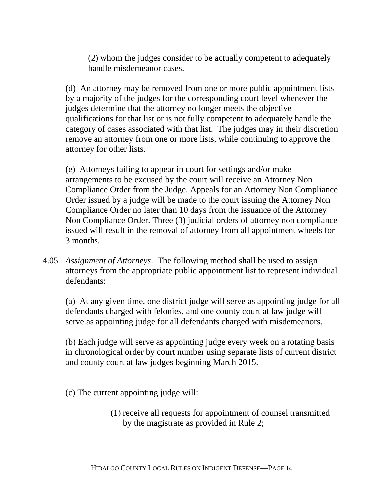(2) whom the judges consider to be actually competent to adequately handle misdemeanor cases.

(d) An attorney may be removed from one or more public appointment lists by a majority of the judges for the corresponding court level whenever the judges determine that the attorney no longer meets the objective qualifications for that list or is not fully competent to adequately handle the category of cases associated with that list. The judges may in their discretion remove an attorney from one or more lists, while continuing to approve the attorney for other lists.

(e) Attorneys failing to appear in court for settings and/or make arrangements to be excused by the court will receive an Attorney Non Compliance Order from the Judge. Appeals for an Attorney Non Compliance Order issued by a judge will be made to the court issuing the Attorney Non Compliance Order no later than 10 days from the issuance of the Attorney Non Compliance Order. Three (3) judicial orders of attorney non compliance issued will result in the removal of attorney from all appointment wheels for 3 months.

4.05 *Assignment of Attorneys*. The following method shall be used to assign attorneys from the appropriate public appointment list to represent individual defendants:

(a) At any given time, one district judge will serve as appointing judge for all defendants charged with felonies, and one county court at law judge will serve as appointing judge for all defendants charged with misdemeanors.

(b) Each judge will serve as appointing judge every week on a rotating basis in chronological order by court number using separate lists of current district and county court at law judges beginning March 2015.

(c) The current appointing judge will:

(1) receive all requests for appointment of counsel transmitted by the magistrate as provided in Rule 2;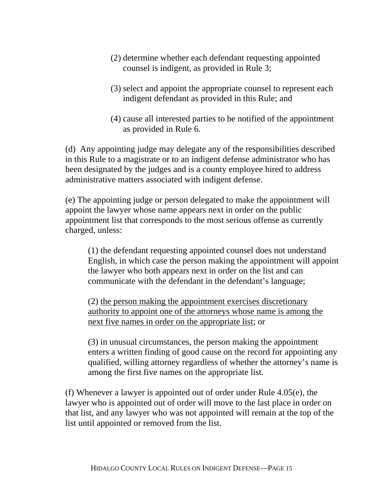- (2) determine whether each defendant requesting appointed counsel is indigent, as provided in Rule 3;
- (3) select and appoint the appropriate counsel to represent each indigent defendant as provided in this Rule; and
- (4) cause all interested parties to be notified of the appointment as provided in Rule 6.

(d) Any appointing judge may delegate any of the responsibilities described in this Rule to a magistrate or to an indigent defense administrator who has been designated by the judges and is a county employee hired to address administrative matters associated with indigent defense.

(e) The appointing judge or person delegated to make the appointment will appoint the lawyer whose name appears next in order on the public appointment list that corresponds to the most serious offense as currently charged, unless:

(1) the defendant requesting appointed counsel does not understand English, in which case the person making the appointment will appoint the lawyer who both appears next in order on the list and can communicate with the defendant in the defendant's language;

(2) the person making the appointment exercises discretionary authority to appoint one of the attorneys whose name is among the next five names in order on the appropriate list; or

(3) in unusual circumstances, the person making the appointment enters a written finding of good cause on the record for appointing any qualified, willing attorney regardless of whether the attorney's name is among the first five names on the appropriate list.

(f) Whenever a lawyer is appointed out of order under Rule 4.05(e), the lawyer who is appointed out of order will move to the last place in order on that list, and any lawyer who was not appointed will remain at the top of the list until appointed or removed from the list.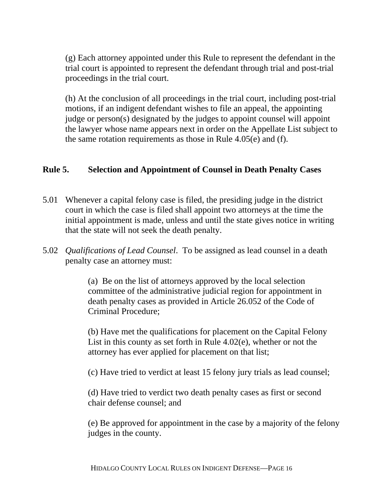(g) Each attorney appointed under this Rule to represent the defendant in the trial court is appointed to represent the defendant through trial and post-trial proceedings in the trial court.

(h) At the conclusion of all proceedings in the trial court, including post-trial motions, if an indigent defendant wishes to file an appeal, the appointing judge or person(s) designated by the judges to appoint counsel will appoint the lawyer whose name appears next in order on the Appellate List subject to the same rotation requirements as those in Rule 4.05(e) and (f).

#### **Rule 5. Selection and Appointment of Counsel in Death Penalty Cases**

- 5.01 Whenever a capital felony case is filed, the presiding judge in the district court in which the case is filed shall appoint two attorneys at the time the initial appointment is made, unless and until the state gives notice in writing that the state will not seek the death penalty.
- 5.02 *Qualifications of Lead Counsel*. To be assigned as lead counsel in a death penalty case an attorney must:

(a) Be on the list of attorneys approved by the local selection committee of the administrative judicial region for appointment in death penalty cases as provided in Article 26.052 of the Code of Criminal Procedure;

(b) Have met the qualifications for placement on the Capital Felony List in this county as set forth in Rule 4.02(e), whether or not the attorney has ever applied for placement on that list;

(c) Have tried to verdict at least 15 felony jury trials as lead counsel;

(d) Have tried to verdict two death penalty cases as first or second chair defense counsel; and

(e) Be approved for appointment in the case by a majority of the felony judges in the county.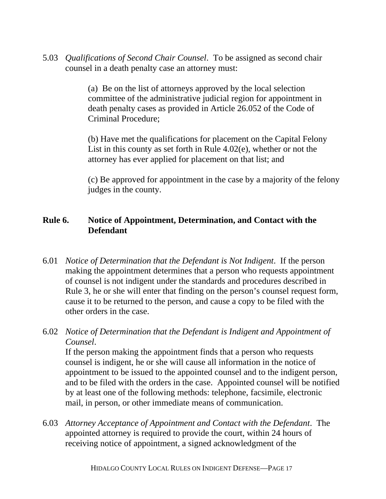5.03 *Qualifications of Second Chair Counsel*. To be assigned as second chair counsel in a death penalty case an attorney must:

> (a) Be on the list of attorneys approved by the local selection committee of the administrative judicial region for appointment in death penalty cases as provided in Article 26.052 of the Code of Criminal Procedure;

(b) Have met the qualifications for placement on the Capital Felony List in this county as set forth in Rule 4.02(e), whether or not the attorney has ever applied for placement on that list; and

(c) Be approved for appointment in the case by a majority of the felony judges in the county.

# **Rule 6. Notice of Appointment, Determination, and Contact with the Defendant**

6.01 *Notice of Determination that the Defendant is Not Indigent*. If the person making the appointment determines that a person who requests appointment of counsel is not indigent under the standards and procedures described in Rule 3, he or she will enter that finding on the person's counsel request form, cause it to be returned to the person, and cause a copy to be filed with the other orders in the case.

# 6.02 *Notice of Determination that the Defendant is Indigent and Appointment of Counsel*.

 If the person making the appointment finds that a person who requests counsel is indigent, he or she will cause all information in the notice of appointment to be issued to the appointed counsel and to the indigent person, and to be filed with the orders in the case. Appointed counsel will be notified by at least one of the following methods: telephone, facsimile, electronic mail, in person, or other immediate means of communication.

6.03 *Attorney Acceptance of Appointment and Contact with the Defendant*. The appointed attorney is required to provide the court, within 24 hours of receiving notice of appointment, a signed acknowledgment of the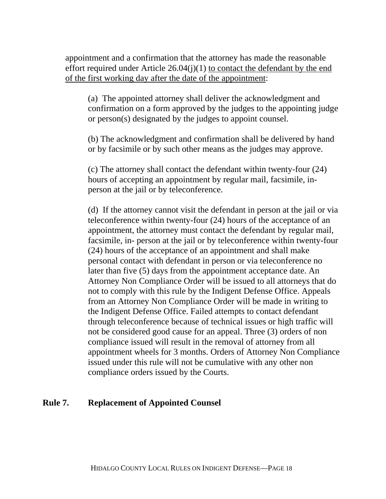appointment and a confirmation that the attorney has made the reasonable effort required under Article  $26.04(j)(1)$  to contact the defendant by the end of the first working day after the date of the appointment:

(a) The appointed attorney shall deliver the acknowledgment and confirmation on a form approved by the judges to the appointing judge or person(s) designated by the judges to appoint counsel.

(b) The acknowledgment and confirmation shall be delivered by hand or by facsimile or by such other means as the judges may approve.

(c) The attorney shall contact the defendant within twenty-four (24) hours of accepting an appointment by regular mail, facsimile, inperson at the jail or by teleconference.

(d) If the attorney cannot visit the defendant in person at the jail or via teleconference within twenty-four (24) hours of the acceptance of an appointment, the attorney must contact the defendant by regular mail, facsimile, in- person at the jail or by teleconference within twenty-four (24) hours of the acceptance of an appointment and shall make personal contact with defendant in person or via teleconference no later than five (5) days from the appointment acceptance date. An Attorney Non Compliance Order will be issued to all attorneys that do not to comply with this rule by the Indigent Defense Office. Appeals from an Attorney Non Compliance Order will be made in writing to the Indigent Defense Office. Failed attempts to contact defendant through teleconference because of technical issues or high traffic will not be considered good cause for an appeal. Three (3) orders of non compliance issued will result in the removal of attorney from all appointment wheels for 3 months. Orders of Attorney Non Compliance issued under this rule will not be cumulative with any other non compliance orders issued by the Courts.

## **Rule 7. Replacement of Appointed Counsel**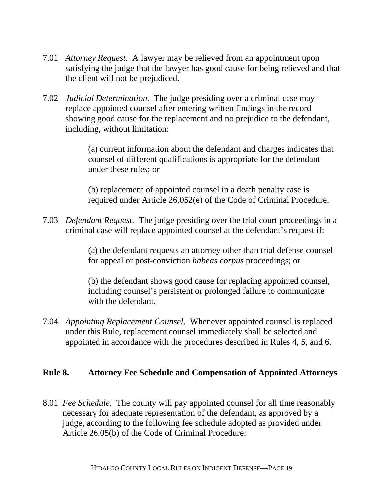- 7.01 *Attorney Request.* A lawyer may be relieved from an appointment upon satisfying the judge that the lawyer has good cause for being relieved and that the client will not be prejudiced.
- 7.02 *Judicial Determination.* The judge presiding over a criminal case may replace appointed counsel after entering written findings in the record showing good cause for the replacement and no prejudice to the defendant, including, without limitation:

(a) current information about the defendant and charges indicates that counsel of different qualifications is appropriate for the defendant under these rules; or

(b) replacement of appointed counsel in a death penalty case is required under Article 26.052(e) of the Code of Criminal Procedure.

7.03 *Defendant Request*. The judge presiding over the trial court proceedings in a criminal case will replace appointed counsel at the defendant's request if:

> (a) the defendant requests an attorney other than trial defense counsel for appeal or post-conviction *habeas corpus* proceedings; or

(b) the defendant shows good cause for replacing appointed counsel, including counsel's persistent or prolonged failure to communicate with the defendant.

7.04 *Appointing Replacement Counsel*. Whenever appointed counsel is replaced under this Rule, replacement counsel immediately shall be selected and appointed in accordance with the procedures described in Rules 4, 5, and 6.

## **Rule 8. Attorney Fee Schedule and Compensation of Appointed Attorneys**

8.01 *Fee Schedule*. The county will pay appointed counsel for all time reasonably necessary for adequate representation of the defendant, as approved by a judge, according to the following fee schedule adopted as provided under Article 26.05(b) of the Code of Criminal Procedure: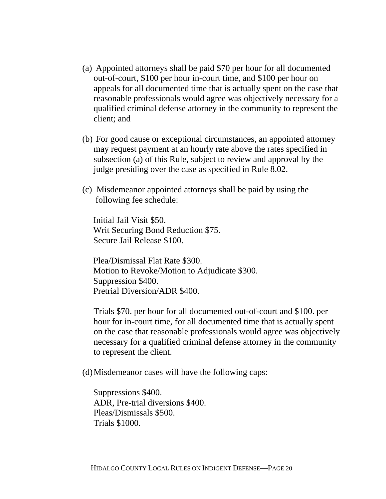- (a) Appointed attorneys shall be paid \$70 per hour for all documented out-of-court, \$100 per hour in-court time, and \$100 per hour on appeals for all documented time that is actually spent on the case that reasonable professionals would agree was objectively necessary for a qualified criminal defense attorney in the community to represent the client; and
- (b) For good cause or exceptional circumstances, an appointed attorney may request payment at an hourly rate above the rates specified in subsection (a) of this Rule, subject to review and approval by the judge presiding over the case as specified in Rule 8.02.
- (c) Misdemeanor appointed attorneys shall be paid by using the following fee schedule:

 Initial Jail Visit \$50. Writ Securing Bond Reduction \$75. Secure Jail Release \$100.

 Plea/Dismissal Flat Rate \$300. Motion to Revoke/Motion to Adjudicate \$300. Suppression \$400. Pretrial Diversion/ADR \$400.

Trials \$70. per hour for all documented out-of-court and \$100. per hour for in-court time, for all documented time that is actually spent on the case that reasonable professionals would agree was objectively necessary for a qualified criminal defense attorney in the community to represent the client.

(d)Misdemeanor cases will have the following caps:

 Suppressions \$400. ADR, Pre-trial diversions \$400. Pleas/Dismissals \$500. Trials \$1000.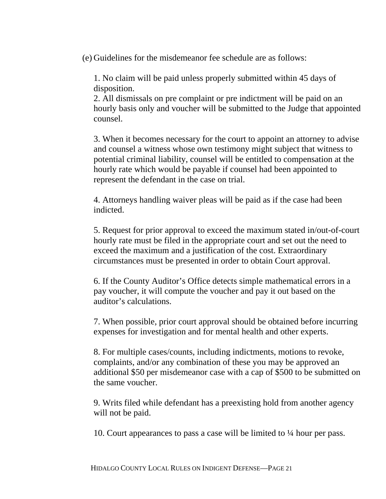(e) Guidelines for the misdemeanor fee schedule are as follows:

1. No claim will be paid unless properly submitted within 45 days of disposition.

2. All dismissals on pre complaint or pre indictment will be paid on an hourly basis only and voucher will be submitted to the Judge that appointed counsel.

3. When it becomes necessary for the court to appoint an attorney to advise and counsel a witness whose own testimony might subject that witness to potential criminal liability, counsel will be entitled to compensation at the hourly rate which would be payable if counsel had been appointed to represent the defendant in the case on trial.

4. Attorneys handling waiver pleas will be paid as if the case had been indicted.

5. Request for prior approval to exceed the maximum stated in/out-of-court hourly rate must be filed in the appropriate court and set out the need to exceed the maximum and a justification of the cost. Extraordinary circumstances must be presented in order to obtain Court approval.

6. If the County Auditor's Office detects simple mathematical errors in a pay voucher, it will compute the voucher and pay it out based on the auditor's calculations.

7. When possible, prior court approval should be obtained before incurring expenses for investigation and for mental health and other experts.

8. For multiple cases/counts, including indictments, motions to revoke, complaints, and/or any combination of these you may be approved an additional \$50 per misdemeanor case with a cap of \$500 to be submitted on the same voucher.

9. Writs filed while defendant has a preexisting hold from another agency will not be paid.

10. Court appearances to pass a case will be limited to ¼ hour per pass.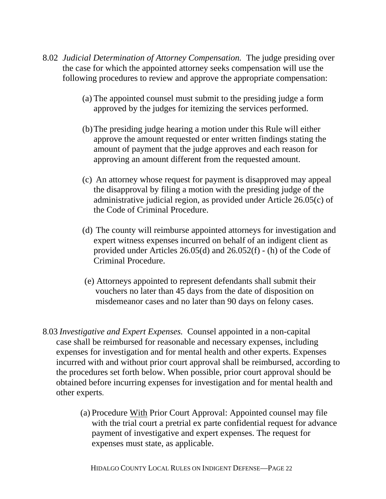- 8.02 *Judicial Determination of Attorney Compensation.* The judge presiding over the case for which the appointed attorney seeks compensation will use the following procedures to review and approve the appropriate compensation:
	- (a) The appointed counsel must submit to the presiding judge a form approved by the judges for itemizing the services performed.
	- (b)The presiding judge hearing a motion under this Rule will either approve the amount requested or enter written findings stating the amount of payment that the judge approves and each reason for approving an amount different from the requested amount.
	- (c) An attorney whose request for payment is disapproved may appeal the disapproval by filing a motion with the presiding judge of the administrative judicial region, as provided under Article 26.05(c) of the Code of Criminal Procedure.
	- (d) The county will reimburse appointed attorneys for investigation and expert witness expenses incurred on behalf of an indigent client as provided under Articles 26.05(d) and 26.052(f) - (h) of the Code of Criminal Procedure.
	- (e) Attorneys appointed to represent defendants shall submit their vouchers no later than 45 days from the date of disposition on misdemeanor cases and no later than 90 days on felony cases.
- 8.03 *Investigative and Expert Expenses.* Counsel appointed in a non-capital case shall be reimbursed for reasonable and necessary expenses, including expenses for investigation and for mental health and other experts. Expenses incurred with and without prior court approval shall be reimbursed, according to the procedures set forth below. When possible, prior court approval should be obtained before incurring expenses for investigation and for mental health and other experts.
	- (a) Procedure With Prior Court Approval: Appointed counsel may file with the trial court a pretrial ex parte confidential request for advance payment of investigative and expert expenses. The request for expenses must state, as applicable.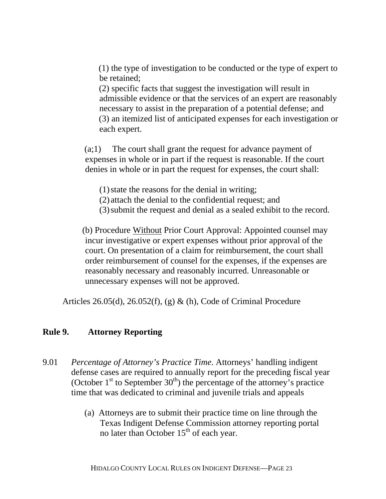(1) the type of investigation to be conducted or the type of expert to be retained;

 (2) specific facts that suggest the investigation will result in admissible evidence or that the services of an expert are reasonably necessary to assist in the preparation of a potential defense; and (3) an itemized list of anticipated expenses for each investigation or each expert.

 (a;1) The court shall grant the request for advance payment of expenses in whole or in part if the request is reasonable. If the court denies in whole or in part the request for expenses, the court shall:

(1)state the reasons for the denial in writing;

- (2) attach the denial to the confidential request; and
- (3)submit the request and denial as a sealed exhibit to the record.

 (b) Procedure Without Prior Court Approval: Appointed counsel may incur investigative or expert expenses without prior approval of the court. On presentation of a claim for reimbursement, the court shall order reimbursement of counsel for the expenses, if the expenses are reasonably necessary and reasonably incurred. Unreasonable or unnecessary expenses will not be approved.

Articles 26.05(d), 26.052(f), (g)  $\&$  (h), Code of Criminal Procedure

## **Rule 9. Attorney Reporting**

- 9.01 *Percentage of Attorney's Practice Time*. Attorneys' handling indigent defense cases are required to annually report for the preceding fiscal year (October  $1<sup>st</sup>$  to September  $30<sup>th</sup>$ ) the percentage of the attorney's practice time that was dedicated to criminal and juvenile trials and appeals
	- (a) Attorneys are to submit their practice time on line through the Texas Indigent Defense Commission attorney reporting portal no later than October  $15<sup>th</sup>$  of each year.